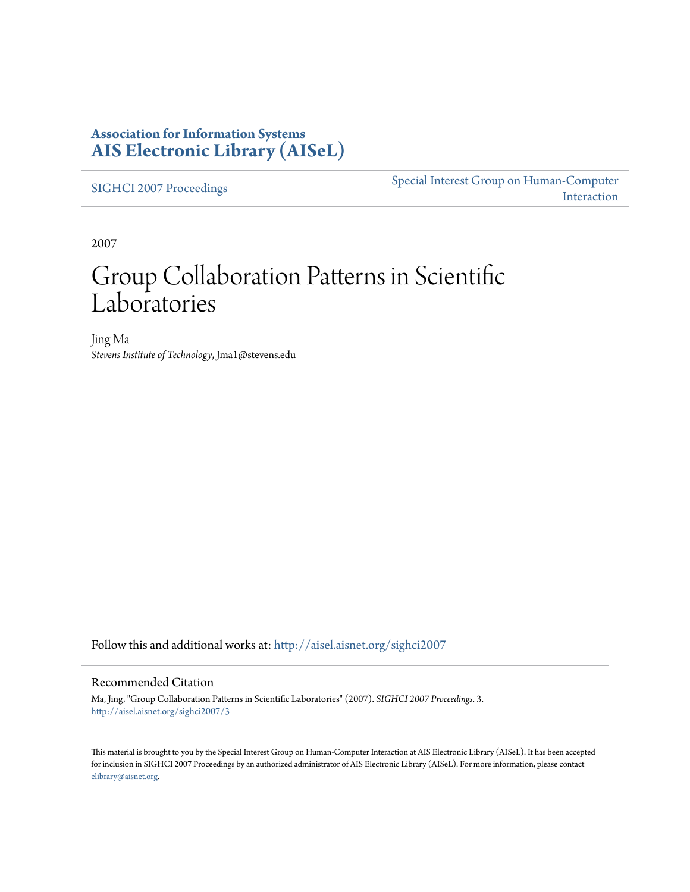### **Association for Information Systems [AIS Electronic Library \(AISeL\)](http://aisel.aisnet.org?utm_source=aisel.aisnet.org%2Fsighci2007%2F3&utm_medium=PDF&utm_campaign=PDFCoverPages)**

[SIGHCI 2007 Proceedings](http://aisel.aisnet.org/sighci2007?utm_source=aisel.aisnet.org%2Fsighci2007%2F3&utm_medium=PDF&utm_campaign=PDFCoverPages)

[Special Interest Group on Human-Computer](http://aisel.aisnet.org/sighci?utm_source=aisel.aisnet.org%2Fsighci2007%2F3&utm_medium=PDF&utm_campaign=PDFCoverPages) [Interaction](http://aisel.aisnet.org/sighci?utm_source=aisel.aisnet.org%2Fsighci2007%2F3&utm_medium=PDF&utm_campaign=PDFCoverPages)

2007

# Group Collaboration Patterns in Scientific Laboratories

Jing Ma *Stevens Institute of Technology*, Jma1@stevens.edu

Follow this and additional works at: [http://aisel.aisnet.org/sighci2007](http://aisel.aisnet.org/sighci2007?utm_source=aisel.aisnet.org%2Fsighci2007%2F3&utm_medium=PDF&utm_campaign=PDFCoverPages)

### Recommended Citation

Ma, Jing, "Group Collaboration Patterns in Scientific Laboratories" (2007). *SIGHCI 2007 Proceedings*. 3. [http://aisel.aisnet.org/sighci2007/3](http://aisel.aisnet.org/sighci2007/3?utm_source=aisel.aisnet.org%2Fsighci2007%2F3&utm_medium=PDF&utm_campaign=PDFCoverPages)

This material is brought to you by the Special Interest Group on Human-Computer Interaction at AIS Electronic Library (AISeL). It has been accepted for inclusion in SIGHCI 2007 Proceedings by an authorized administrator of AIS Electronic Library (AISeL). For more information, please contact [elibrary@aisnet.org.](mailto:elibrary@aisnet.org%3E)